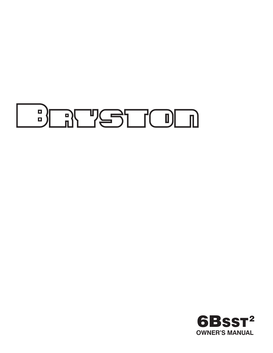

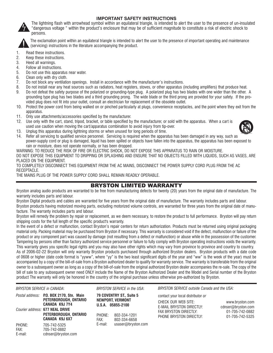#### **IMPORTANT SAFETY INSTRUCTIONS**



The lightning flash with arrowhead symbol within an equilateral triangle, is intended to alert the user to the presence of un-insulated "dangerous voltage " within the product's enclosure that may be of sufficient magnitude to constitute a risk of electric shock to persons.



The exclamation point within an equilateral triangle is intended to alert the user to the presence of important operating and maintenance (servicing) instructions in the literature accompanying the product.

- 1. Read these instructions.
- 2. Keep these instructions.
- 3. Heed all warnings.
- 4. Follow all instructions.
- 5. Do not use this apparatus near water.
- 6. Clean only with dry cloth.
- 7. Do not block any ventilation openings. Install in accordance with the manufacturer's instructions.
- 8. Do not install near any heat sources such as radiators, heat registers, stoves, or other apparatus (including amplifiers) that produce heat.
- 9. Do not defeat the safety purpose of the polarized or grounding-type plug. A polarized plug has two blades with one wider than the other. A grounding type plug has two blades and a third grounding prong. The wide blade or the third prong are provided for your safety. If the provided plug does not fit into your outlet, consult an electrician for replacement of the obsolete outlet.
- 10. Protect the power cord from being walked on or pinched particularly at plugs, convenience receptacles, and the point where they exit from the apparatus.
- 11. Only use attachments/accessories specified by the manufacturer.
- 12. Use only with the cart, stand, tripod, bracket, or table specified by the manufacturer, or sold with the apparatus. When a cart is used use caution when moving the cart/apparatus combination to avoid injury from tip-over.



- 13. Unplug this apparatus during lightning storms or when unused for long periods of time.
- 14. Refer all servicing to qualified service personnel. Servicing is required when the apparatus has been damaged in any way, such as power-supply cord or plug is damaged, liquid has been spilled or objects have fallen into the apparatus, the apparatus has been exposed to rain or moisture, does not operate normally, or has been dropped.

WARNING: TO REDUCE THE RISK OF FIRE OR ELECTRIC SHOCK, DO NOT EXPOSE THIS APPARATUS TO RAIN OR MOISTURE. DO NOT EXPOSE THIS EQUIPMENT TO DRIPPING OR SPLASHING AND ENSURE THAT NO OBJECTS FILLED WITH LIQUIDS, SUCH AS VASES, ARE PLACED ON THE EQUIPMENT.

TO COMPLETELY DISCONNECT THIS EQUIPMENT FROM THE AC MAINS, DISCONNECT THE POWER SUPPLY CORD PLUG FROM THE AC RECEPTACLE.

THE MAINS PLUG OF THE POWER SUPPLY CORD SHALL REMAIN READILY OPERABLE.

# BRYSTON LIMITED WARRANTY

Bryston analog audio products are warranted to be free from manufacturing defects for twenty (20) years from the original date of manufacture. The warranty includes parts and labour.

Bryston Digital products and cables are warranted for five years from the original date of manufacture. The warranty includes parts and labour.

Bryston products having motorized moving parts, excluding motorized volume controls, are warranted for three years from the original date of manufacture. The warranty includes parts and labour.

Bryston will remedy the problem by repair or replacement, as we deem necessary, to restore the product to full performance. Bryston will pay return shipping costs for the full length of the specific product's warranty.

In the event of a defect or malfunction, contact Bryston's repair centers for return authorization. Products must be returned using original packaging material only. Packing material may be purchased from Bryston if necessary. This warranty is considered void if the defect, malfunction or failure of the product or any component part was caused by damage (not resulting from a defect or malfunction) or abuse while in the possession of the customer. Tampering by persons other than factory authorized service personnel or failure to fully comply with Bryston operating instructions voids the warranty. This warranty gives you specific legal rights and you may also have other rights which may vary from province to province and country to country.

As of 2006-02-22 Bryston will only warranty Bryston products purchased through authorized Bryston dealers. Bryston products with a date code of 0608 or higher (date code format is "yyww", where "yy" is the two least significant digits of the year and "ww" is the week of the year) must be accompanied by a copy of the bill-of-sale from a Bryston authorized dealer to qualify for warranty service. The warranty is transferable from the original owner to a subsequent owner as long as a copy of the bill-of-sale from the original authorized Bryston dealer accompanies the re-sale. The copy of the bill of sale to any subsequent owner need ONLY include the Name of the Bryston Authorized Dealer and the Model and Serial number of the Bryston product The warranty will only be honored in the country of the original purchase unless otherwise pre-authorized by Bryston.

#### *BRYSTON SERVICE in CANADA*: *BRYSTON SERVICE in the USA*:

|                           | Postal address: P.O. BOX 2170, Stn. Main<br>PETERBOROUGH, ONTARIO<br>CANADA K9J 7Y4 |
|---------------------------|-------------------------------------------------------------------------------------|
|                           | Courier address: 677 NEAL DRIVE<br>PETERBOROUGH, ONTARIO<br>CANADA K9J 6X7          |
| PHONE:<br>FAX:<br>E-mail: | 705-742-5325<br>705-742-0882<br>cdnser@bryston.com                                  |

**79 COVENTRY ST., Suite 5 NEWPORT, VERMONT U.S.A. 05855-2100**

PHONE: 802-334-1201<br>FAX: 802-334-6658 FAX: 802-334-6658 E-mail: usaser@bryston.com *BRYSTON SERVICE outside Canada and the USA:*

contact your local distributor *or*

E-MAIL BRYSTON DIRECTLY: cdnser@bryston.com FAX BRYSTON DIRECTLY: 01-705-742-0882 PHONE BRYSTON DIRECTLY: 01-705-742-5325

CHECK OUR WEB SITE: www.bryston.com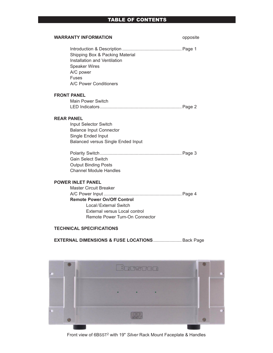# TABLE OF CONTENTS

| <b>WARRANTY INFORMATION</b>                                                                                                                    | opposite |
|------------------------------------------------------------------------------------------------------------------------------------------------|----------|
| Shipping Box & Packing Material<br>Installation and Ventilation<br><b>Speaker Wires</b><br>A/C power<br><b>Fuses</b><br>A/C Power Conditioners |          |
| <b>FRONT PANEL</b>                                                                                                                             |          |
| Main Power Switch                                                                                                                              |          |
|                                                                                                                                                |          |
| <b>REAR PANEL</b>                                                                                                                              |          |
| Input Selector Switch                                                                                                                          |          |
| <b>Balance Input Connector</b>                                                                                                                 |          |
| Single Ended Input                                                                                                                             |          |
| <b>Balanced versus Single Ended Input</b>                                                                                                      |          |
|                                                                                                                                                |          |
| <b>Gain Select Switch</b>                                                                                                                      |          |
| <b>Output Binding Posts</b>                                                                                                                    |          |
| <b>Channel Module Handles</b>                                                                                                                  |          |
| <b>POWER INLET PANEL</b>                                                                                                                       |          |
| <b>Master Circuit Breaker</b>                                                                                                                  |          |
|                                                                                                                                                |          |
| <b>Remote Power On/Off Control</b>                                                                                                             |          |
| Local/External Switch                                                                                                                          |          |
| External versus Local control                                                                                                                  |          |
| Remote Power Turn-On Connector                                                                                                                 |          |

# **TECHNICAL SPECIFICATIONS**

**EXTERNAL DIMENSIONS & FUSE LOCATIONS**....................... Back Page



Front view of 6BSST2 with 19" *Silver* Rack Mount Faceplate & Handles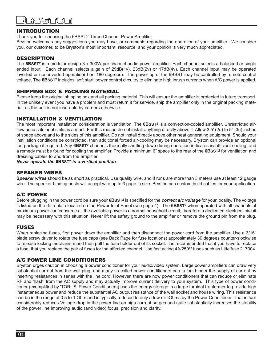#### INTRODUCTION

Thank you for choosing the 6BSST2 Three Channel Power Amplifier.

Bryston welcomes any suggestions you may have, or comments regarding the operation of your amplifier. We consider you, our customer, to be Bryston's most important resource, and your opinion is very much appreciated.

#### DESCRIPTION

The **6BSST2** is a modular design 3 x 300W per channel audio power amplifier. Each channel selects a balanced or single ended input. Each channel selects a gain of 29dB(1v), 23dB(2v) or 17dB(4v). Each channel input may be operated inverted or non-inverted operation(0 or -180 degrees). The power up of the 6BSST may be controlled by remote control voltage. The **6BSST2** includes 'soft start' power control circuitry to eliminate high inrush currents when A/C power is applied.

#### SHIPPING BOX & PACKING MATERIAL

Please keep the original shipping box and all packing material. This will ensure the amplifier is protected in future transport. In the unlikely event you have a problem and must return it for service, ship the amplifier only in the original packing material, as the unit is not insurable by carriers otherwise.

#### INSTALLATION & VENTILATION

The most important installation consideration is ventilation. The **6BSST2** is a convection-cooled amplifier. Unrestricted airflow across its heat sinks is a must. For this reason do not install anything directly above it. Allow 3.5' (2u) to 5" (3u) inches of space above and to the sides of this amplifier. Do not install directly above other heat generating equipment. Should your instillation conditions be constricted, then additional forced air-cooling may be necessary. Bryston can provide an optional fan package if required. Any **6BSST2** channels thermally shutting down during operation indicates insufficient cooling, and a remedy must be found for cooling the amplifier. Provide a minimum 6" space to the rear of the **6BSST2** for ventilation and dressing cables to and from the amplifier.

*Never operate the* **6BSST2** *in a vertical position*.

#### SPEAKER WIRES

**S***peaker wires* should be as short as practical. Use quality wire, and if runs are more than 3 meters use at least 12 gauge wire. The speaker binding posts will accept wire up to 3 gage in size. Bryston can custom build cables for your application.

#### A/C POWER

Before plugging in the power cord be sure your **6BSST2** is specified for the *correct a/c voltage* for your locality. The voltage is listed on the data plate located on the Power Inlet Panel (see page 4). The **6BSST2** when operated with all channels at maximum power can consume all the available power in a normal household circuit, therefore a dedicated electrical circuit may be necessary with this situation. Never lift the safety ground to the amplifier or remove the ground pin from the plug.

#### FUSES

When replacing fuses, first power down the amplifier and then disconnect the power cord from the amplifier. Use a 3/16" blade screw driver to rotate the fuse caps (see Back Page for fuse locations) approsimately 30 degrees counter-slockwise to release locking mechanism and then pull the fuse holder out of its socket. It is recommended that if you have to replace a fuse, that you replace the pair of fuses for the affected channel. Use fast acting 4A/250V fuses such as Littelfuse 217004.

#### A/C POWER LINE CONDITIONERS

Bryston urges caution in choosing a power conditioner for your audio/video system. Large power amplifiers can draw very substantial current from the wall plug, and many so-called power conditioners can in fact hinder the supply of current by inserting resistances in series with the line cord. However, there are now power conditioners that can reduce or eliminate RF and 'hash' from the AC supply and may actually improve current delivery to your system. This type of power conditioner (exemplified by 'TORUS' Power Conditioners) uses the energy storage in a large toroidal tranformer to provide high instantaneous power and reduce the substantial AC output resistance of the wall socket and house wiring. This resistance can be in the range of 0.5 to 1 Ohm and is typically reduced to only a few milliOhms by the Power Conditioner. That in turn considerably reduces Voltage drop in the power line on high current surges and quite substantially increases the stability of the power line improving audio (and video) focus, precision and clarity.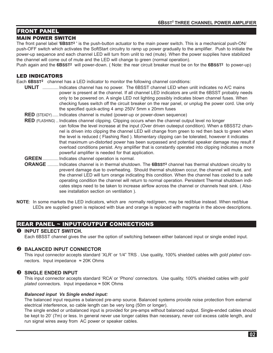# FRONT PANEL

#### MAIN POWER SWITCH

The front panel label '**6BSST2** ' is the push-button actuator to the main power switch. This is a mechanical push-ON/ push-OFF switch which activates the SoftStart circuitry to ramp up power gradually to the amplifier. Push to initiate the power-up sequence and each channel LED will turn from unlit to red (mute). When the power supplies have stabilized the channel will come out of mute and the LED will change to green (normal operation).

Push again and the **6BSST2** will power-down. ( Note: the rear circuit breaker must be on for the **6BSST2** to power-up)

#### LED INDICATORS

Each **6BSST2** channel has a LED indicator to monitor the following channel conditions:

- **UNLIT** ............. Indicates channel has no power. The 6BSST channel LED when unlit indicates no A/C mains power is present at the channel. If all channel LED indicators are unlit the 6BSST probably needs only to be powered on. A single LED not lighting possibly indicates blown channel fuses. When checking fuses switch off the circuit breaker on the rear panel, or unplug the power cord. Use only the specified quick-acting 4 amp 250V 5mm x 20mm fuses
- **RED** (STEADY)..... Indicates channel is muted (power-up or power-down sequence)
- **RED** (FLASHING) .. Indicates channel clipping. Clipping occurs when the channel output level no longer can follow the level increase at the input (Over driven outeeput condition). When a 6BSST2 channel is driven into clipping the channel LED will change from green to red then back to green when the level is reduced ( Flashing Red ). Momentary clipping can be tolerated, however it indicates that maximum un-distorted power has been surpassed and potential speaker damage may result if overload conditions persist. Any amplifier that is constantly operated into clipping indicates a more powerful amplifier is needed for that application.
- **GREEN**............. Indicates channel operation is normal.
- **ORANGE** ......... Indicates channel is in thermal shutdown. The **6BSST2** channel has thermal shutdown circuitry to prevent damage due to overheating. Should thermal shutdown occur, the channel will mute, and the channel LED will turn orange indicating this condition. When the channel has cooled to a safe operating condition the channel will return to normal operation. Persistent Thermal shutdown indicates steps need to be taken to increase airflow across the channel or channels heat sink. ( Also see installation section on ventilation ).
- **NOTE**: In some markets the LED indicators, which are normally red/green, may be red/blue instead. When red/blue LEDs are supplied green is replaced with blue and orange is replaced with magenta in the above descriptions.

# REAR PANEL ~ INPUT/OUTPUT CONNECTIONS

#### **O** INPUT SELECT SWITCH.

Each 6BSST channel gives the user the option of switching between either balanced input or single ended input.

#### **@ BALANCED INPUT CONNECTOR**

 This input connector accepts standard 'XLR' or 1/4" TRS . Use quality, 100% shielded cables with *gold plated* connectors. Input impedance  $≈ 20K Ohms$ 

#### **8 SINGLE ENDED INPUT**

 This input connector accepts standard 'RCA' or 'Phono' connectors. Use quality, 100% shielded cables with *gold plated* connectors. Input impedance ≈ 50K Ohms

#### *Balanced input Vs Single ended input:*

 The balanced input requires a balanced pre-amp source. Balanced systems provide noise protection from external electrical interference, so cable length can be very long (50m or longer).

 The single ended or unbalanced input is provided for pre-amps without balanced output. Single-ended cables should be kept to 20' (7m) or less. In general never use longer cables than necessary, never coil excess cable length, and run signal wires away from AC power or speaker cables.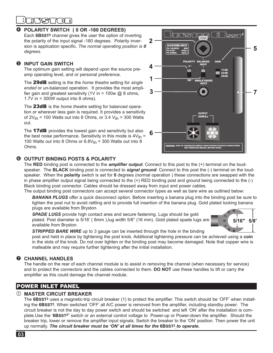# ת ור

## **POLARITY SWITCH ( 0 OR -180 DEGREES)**

 Each **6BSST2** channel gives the user the option of inverting the polarity of the input signal -180 degrees. Polarity inversion is application specific. *The normal operating position is 0 degrees.* 

# $\Theta$  **INPUT GAIN SWITCH**

 The optimum gain setting will depend upon the source preamp operating level, and or personal preference.

 The 29dB setting is the the *home theatre* setting for *single ended* or un-balanced operation. It provides the most amplifier gain and greatest sensitivity (1V in = 100w  $@$  8 ohms, 1.7V in = 300W output into 8 ohms).

 The 23dB is the *home theatre* setting for balanced operation or wherever less gain is required. It provides a sensitivity of  $2V_{in}$  = 100 Watts out into 8 Ohms, or 3.4  $V_{in}$  = 300 Watts out.

The **17dB** provides the lowest gain and sensitivity but also the best noise performance. Sensitivity in this mode is  $4V_{\text{in}}$  = 100 Watts out into 8 Ohms or  $6.8V_{\text{in}}$  = 300 Watts out into 8 Ohms.



# **OUTPUT BINDING POSTS & POLARITY**

The **RED** binding post is connected to the *amplifier output*. Connect to this post to the (+) terminal on the loudspeaker. The **BLACK** binding post is connected to *signal ground*. Connect to this post the (-) terminal on the loudspeaker. When the **polarity** switch is set for **0** degrees (normal operation ) these connections are swapped with the in phase amplifier output signal being connected to the (+) RED binding post and ground being connected to the (-) Black binding post connector. Cables should be dressed away from input and power cables.

The output binding post connectors can accept several connector types as well as bare wire as outlined below: *BANANA PLUGS* offer a quick disconnect option. Before inserting a banana plug into the binding post be sure to tighten the post nut to avoid rattling and to provide full insertion of the banana plug. Gold plated locking banana plugs are available from Bryston.

 *SPADE LUGS* provide high contact area and secure fastening. Lugs should be gold plated. Post diameter is 5/16' ( 8mm ),lug width 5/8" (16 mm). Gold plated spade lugs are available from Bryston.



**STRIPPED BARE WIRE** up to 3 gauge can be inserted through the hole in the binding post and held in place by tightening the post knob. Additional tightening pressure can be achieved using a **coin** in the slots of the knob. Do not over tighten or the binding post may become damaged. Note that copper wire is malleable and may require further tightening after the initial installation.

# **<sup>***C***</sup>** CHANNEL HANDLES

The handle on the rear of each channel module is to assist in removing the channel (when necessary for service) and to protect the connectors and the cables connected to them. **DO NOT** use these handles to lift or carry the ampliifier as this could damage the channel module.

# POWER INLET PANEL

#### **MASTER CIRCUIT BREAKER**

The 6BSST<sup>2</sup> uses a magnetic-trip circuit breaker (1) to protect the amplifier. This switch should be 'OFF' when installing the **6BSST2**. When switched 'OFF' all A/C power is removed from the amplifier, including standby power. The circuit breaker is not the day to day power switch and should be switched and left 'ON' after the installation is complete.Use the '**6BSST2**" switch or an external control voltage to Power-up or Power-down the amplifier. Should the breaker trip, lower or remove the amplifier input signals. Switch the breaker to the 'ON' position. Then power the unit up normally. *The circuit breaker must be 'ON' at all times for the* **6BSST2** *to operate.*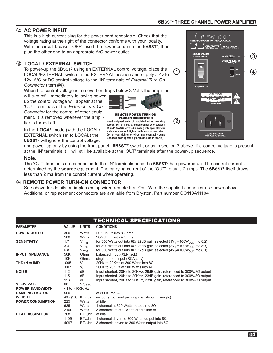# **6BSST2 THREE CHANNEL POWER AMPLIFIER**

 $\overline{3}$ 

## **AC POWER INPUT**

 This is a high current plug for the power cord receptacle. Check that the voltage rating at the right of the connector conforms with your locality. With the circuit breaker 'OFF' insert the power cord into the **6BSST2**, then plug the other end to an approprate A/C power outlet.

#### **LOCAL / EXTERNAL SWITCH**

 To power-up the 6BSST2 using an EXTERNAL control voltage, place the LOCAL/EXTERNAL switch in the EXTERNAL position and supply a 4v to 12v A/C or DC control voltage to the 'IN' terminals of *External Turn-On Connector* (item #4).

When the control voltage is removed or drops below 3 Volts the amplifier

will turn off. Immediately following power up the control voltage will appear at the 'OUT' terminals of the *External Turn-On Connector* for the control of other equipment. It is removed whenever the amplifier is turned off.

In the *LOCAL* mode (with the LOCAL/ EXTERNAL switch set to LOCAL) the **6BSST2** will ignore the control voltage,

MADE IN CANADA<br>FABRIQUE AU CANAD AL III EX سبب ॎॱ<br>ॎॱग़<br>ॱॱ॑  $\left( 1\right)$ **RISK OF ELECTRIC SHOCK - DO NOT OP** E DE CHOC EL  $\left( 2\right)$ ⊕ DE IN CAN<br>QUE AU C

and power up only by using the front panel '**6BSST2**' switch, or as in section 3 above. If a control voltage is present at the 'IN' terminals it will still be available at the 'OUT' terminals after the power-up sequence.

REMOTE POWER TURN-ON PLUG-IN CONNECTOR **Insert stripped ends of insulated wires revealing approx. 1/4" of bare, stranded copper wire between 24 and 12 AWG (.5mm to 2mm dia.) into open elevator**  style wire clamps & tighten with a slot screw driver. **Do not over tighten or wires may eventually come lose. Maximum tightening torque is 4.5 lb-in (0.5Nm)**

#### **Note***:*

 The 'OUT' terminals are connected to the 'IN' terminals once the **6BSST2** has powered-up. The control current is determined by the **source** equipment. The carrying current of the 'OUT' relay is 2 amps. The **6BSST2** itself draws less than 2 ma from the control current when operating.

#### **REMOTE POWER TURN-ON CONNECTOR**

 See above for details on implementing wired remote turn-On. Wire the supplied connector as shown above. Additional or replacement connectors are available from Bryston. Part number CO110A11104

|                          |                      |                  | TECHNICAL SPECIFICATIONS                                                                                        |
|--------------------------|----------------------|------------------|-----------------------------------------------------------------------------------------------------------------|
| <b>PARAMETER</b>         | <b>VALUE</b>         | <b>UNITS</b>     | <b>CONDITIONS</b>                                                                                               |
| <b>POWER OUTPUT</b>      | 300                  | Watts            | 20-20K Hz into 8 Ohms                                                                                           |
|                          | 500                  | Watts            | 20-20K Hz into 4 Ohms                                                                                           |
| <b>SENSITIVITY</b>       | 1.7                  | $V_{\rm rms}$    | for 300 Watts out into 8Ω, 29dB gain selected (1V <sub>in</sub> =100W <sub>OUt</sub> into 8Ω)                   |
|                          | 3.4                  | $V_{\rm rms}$    | for 300 Watts out into 8 $\Omega$ , 23dB gain selected (2V <sub>in</sub> =100W <sub>OUt</sub> into 8 $\Omega$ ) |
|                          | 6.8                  | $V_{\text{rms}}$ | for 300 Watts out into 8 $\Omega$ , 17dB gain selected (4V <sub>in</sub> =100W <sub>OUt</sub> into 8 $\Omega$ ) |
| <b>INPUT IMPEDANCE</b>   | 50K                  | Ohms             | balanced input (XLR jack)                                                                                       |
|                          | 10K                  | Ohms             | single ended input (RCA jack)                                                                                   |
| <b>THD+N or IMD</b>      | .005                 | $\%$             | 20Hz to 20KHz at 300 Watts into $8\Omega$                                                                       |
|                          | .007                 | $\%$             | 20Hz to 20KHz at 500 Watts into $4\Omega$                                                                       |
| <b>NOISE</b>             | 112                  | dB               | Input shorted, 20Hz to 20KHz, 29dB gain, referenced to 300W/8 $\Omega$ output                                   |
|                          | 115                  | dB               | Input shorted, 20Hz to 20KHz, 23dB gain, referenced to 300W/8 $\Omega$ output                                   |
|                          | 118                  | dB               | Input shorted, 20Hz to 20KHz, 23dB gain, referenced to 300W/8 $\Omega$ output                                   |
| <b>SLEW RATE</b>         | 60                   | V/usec           |                                                                                                                 |
| <b>POWER BANDWIDTH</b>   | $<$ 1 to $>$ 100K Hz |                  |                                                                                                                 |
| <b>DAMPING FACTOR</b>    | 500                  |                  | at 20Hz, ref $8\Omega$                                                                                          |
| <b>WEIGHT</b>            | 46.7 (103) Kg (lbs)  |                  | including box and packing (i.e. shipping weight)                                                                |
| <b>POWER CONSUMPTION</b> | 225                  | Watts            | at idle                                                                                                         |
|                          | 625                  | Watts            | 1 channel at 300 Watts output into $8\Omega$                                                                    |
|                          | 2100                 | Watts            | 3 channels at 300 Watts output into $8\Omega$                                                                   |
| <b>HEAT DISSIPATION</b>  | 768                  | BTU/hr           | at idle                                                                                                         |
|                          | 1109                 | BTU/hr           | 1 channel driven to 300 Watts output into $8\Omega$                                                             |
|                          | 4097                 | BTU/hr           | 3 channels driven to 300 Watts output into $8\Omega$                                                            |